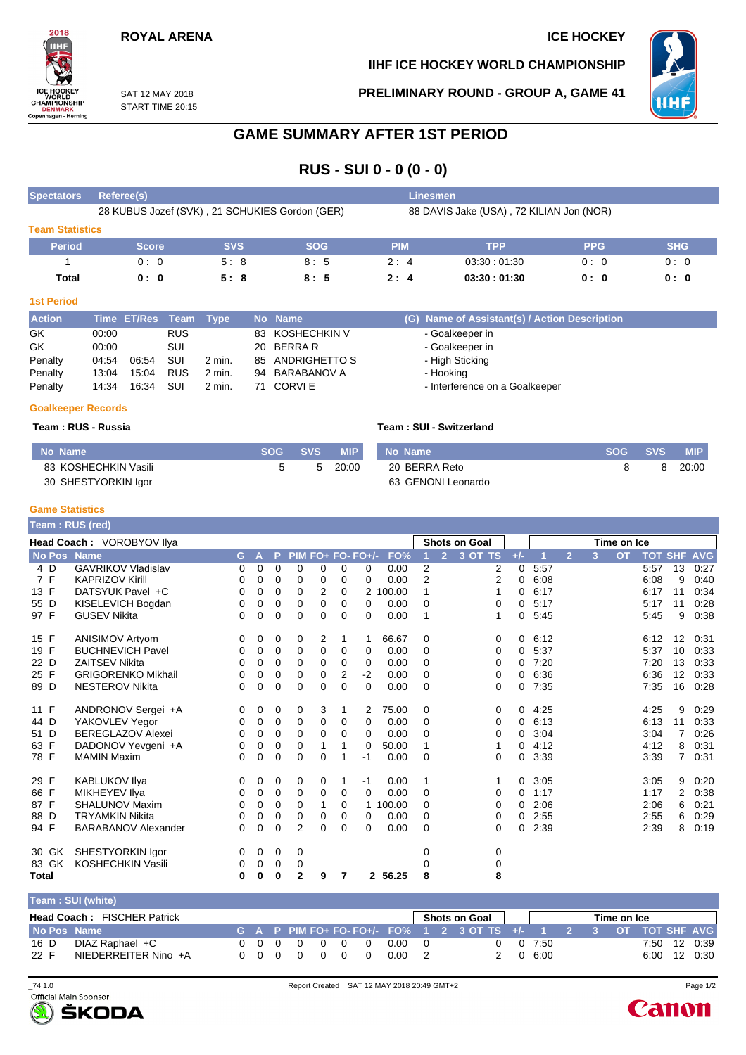# **ROYAL ARENA ICE HOCKEY**

**IIHF ICE HOCKEY WORLD CHAMPIONSHIP**

**PRELIMINARY ROUND - GROUP A, GAME 41**



SAT 12 MAY 2018 START TIME 20:15

# **GAME SUMMARY AFTER 1ST PERIOD**

**RUS - SUI 0 - 0 (0 - 0)**

| <b>Spectators</b>      | Referee(s)                                     |            |            | <b>Linesmen</b>                          |             |            |            |  |  |  |  |  |
|------------------------|------------------------------------------------|------------|------------|------------------------------------------|-------------|------------|------------|--|--|--|--|--|
|                        | 28 KUBUS Jozef (SVK), 21 SCHUKIES Gordon (GER) |            |            | 88 DAVIS Jake (USA), 72 KILIAN Jon (NOR) |             |            |            |  |  |  |  |  |
| <b>Team Statistics</b> |                                                |            |            |                                          |             |            |            |  |  |  |  |  |
| <b>Period</b>          | <b>Score</b>                                   | <b>SVS</b> | <b>SOG</b> | <b>PIM</b>                               | <b>TPP</b>  | <b>PPG</b> | <b>SHG</b> |  |  |  |  |  |
|                        | 0:0                                            | 5:8        | 8:5        | 2:4                                      | 03.30:01.30 | 0:0        | 0:0        |  |  |  |  |  |
| Total                  | 0:0                                            | 5:8        | 8:5        | 2:4                                      | 03:30:01:30 | 0: 0       | 0:0        |  |  |  |  |  |

#### **1st Period**

2018

ICE HO **ICE HOCKET**<br>
WORLD<br>CHAMPIONSHIP<br>
DENMARK<br>
Copenhagen - Herning

| <b>Action</b> | Time ET/Res Team Type |       |            |          | No Name          | (G) Name of Assistant(s) / Action Description |
|---------------|-----------------------|-------|------------|----------|------------------|-----------------------------------------------|
| GK            | 00:00                 |       | <b>RUS</b> |          | 83 KOSHECHKIN V  | - Goalkeeper in                               |
| GK            | 00:00                 |       | SUI        |          | 20 BERRAR        | - Goalkeeper in                               |
| Penalty       | 04:54                 | 06:54 | SUI        | $2$ min. | 85 ANDRIGHETTO S | - High Sticking                               |
| Penalty       | 13:04                 | 15:04 | <b>RUS</b> | 2 min.   | 94 BARABANOV A   | - Hooking                                     |
| Penalty       | 14:34                 | 16:34 | SUI        | $2$ min. | 71 CORVIE        | - Interference on a Goalkeeper                |

#### **Goalkeeper Records**

### **Team : RUS - Russia Team : SUI - Switzerland**

| No Name              | SOG | SVS 4 | <b>MIP</b> | No Name            | SOG | <b>SVS</b> | <b>MIP</b> |
|----------------------|-----|-------|------------|--------------------|-----|------------|------------|
| 83 KOSHECHKIN Vasili |     |       | 20:00      | 20 BERRA Reto      |     |            | 20:00      |
| 30 SHESTYORKIN Igor  |     |       |            | 63 GENONI Leonardo |     |            |            |

#### **Game Statistics**

|              | <b>Feam : RUS (red)</b>    |    |          |          |                |   |   |                   |          |                |                      |          |       |             |                |   |           |                |    |            |
|--------------|----------------------------|----|----------|----------|----------------|---|---|-------------------|----------|----------------|----------------------|----------|-------|-------------|----------------|---|-----------|----------------|----|------------|
|              | Head Coach: VOROBYOV Ilya  |    |          |          |                |   |   |                   |          |                | <b>Shots on Goal</b> |          |       | Time on Ice |                |   |           |                |    |            |
| No Pos Name  |                            | G. | А        | P        |                |   |   | PIM FO+ FO- FO+/- | FO%      |                | $\overline{2}$       | 3 OT TS  | $+/-$ |             | $\overline{2}$ | 3 | <b>OT</b> | <b>TOT SHF</b> |    | <b>AVG</b> |
| 4 D          | <b>GAVRIKOV Vladislav</b>  | 0  | 0        | 0        | 0              | 0 | 0 | 0                 | 0.00     | $\overline{2}$ |                      | 2        | 0     | 5:57        |                |   |           | 5:57           | 13 | 0:27       |
| 7F           | <b>KAPRIZOV Kirill</b>     | 0  | 0        | 0        | 0              | 0 | 0 | 0                 | 0.00     | $\overline{2}$ |                      | 2        | 0     | 6:08        |                |   |           | 6:08           | 9  | 0:40       |
| 13 F         | DATSYUK Pavel +C           | 0  | 0        | 0        | 0              | 2 | 0 |                   | 2 100.00 | 1              |                      |          | 0     | 6:17        |                |   |           | 6:17           | 11 | 0:34       |
| 55 D         | KISELEVICH Bogdan          | 0  | 0        | 0        | 0              | 0 | 0 | 0                 | 0.00     | $\mathbf 0$    |                      | 0        | 0     | 5:17        |                |   |           | 5:17           | 11 | 0:28       |
| 97 F         | <b>GUSEV Nikita</b>        | 0  | 0        | 0        | $\Omega$       | 0 | 0 | $\Omega$          | 0.00     | 1              |                      |          | 0     | 5:45        |                |   |           | 5:45           | 9  | 0:38       |
| 15 F         | <b>ANISIMOV Artyom</b>     | 0  | 0        | 0        | 0              | 2 | 1 |                   | 66.67    | 0              |                      | 0        | 0     | 6:12        |                |   |           | 6:12           | 12 | 0:31       |
| 19 F         | <b>BUCHNEVICH Pavel</b>    | 0  | 0        | 0        | 0              | 0 | 0 | 0                 | 0.00     | 0              |                      | 0        | 0     | 5:37        |                |   |           | 5:37           | 10 | 0:33       |
| 22 D         | <b>ZAITSEV Nikita</b>      | 0  | 0        | 0        | 0              | 0 | 0 | 0                 | 0.00     | 0              |                      | 0        | 0     | 7:20        |                |   |           | 7:20           | 13 | 0:33       |
| 25 F         | <b>GRIGORENKO Mikhail</b>  | 0  | 0        | 0        | 0              | 0 | 2 | $-2$              | 0.00     | $\Omega$       |                      | $\Omega$ | 0     | 6:36        |                |   |           | 6:36           | 12 | 0:33       |
| 89 D         | <b>NESTEROV Nikita</b>     | 0  | 0        | 0        | 0              | 0 | 0 | $\Omega$          | 0.00     | $\mathbf 0$    |                      | $\Omega$ | 0     | 7:35        |                |   |           | 7:35           | 16 | 0:28       |
| 11 F         | ANDRONOV Sergei +A         | 0  | 0        | 0        | 0              | 3 | 1 | 2                 | 75.00    | 0              |                      | 0        | 0     | 4:25        |                |   |           | 4:25           | 9  | 0:29       |
| 44 D         | YAKOVLEV Yegor             | 0  | 0        | 0        | 0              | 0 | 0 | 0                 | 0.00     | 0              |                      | 0        | 0     | 6:13        |                |   |           | 6:13           | 11 | 0:33       |
| 51 D         | <b>BEREGLAZOV Alexei</b>   | 0  | 0        | 0        | 0              | 0 | 0 | $\Omega$          | 0.00     | 0              |                      | 0        | 0     | 3:04        |                |   |           | 3:04           | 7  | 0:26       |
| 63 F         | DADONOV Yevgeni +A         | 0  | 0        | 0        | 0              | 1 | 1 | 0                 | 50.00    | 1              |                      |          | 0     | 4:12        |                |   |           | 4:12           | 8  | 0:31       |
| 78 F         | <b>MAMIN Maxim</b>         | 0  | $\Omega$ | 0        | $\Omega$       | 0 | 1 | -1                | 0.00     | $\mathbf 0$    |                      | $\Omega$ | 0     | 3:39        |                |   |           | 3:39           | 7  | 0:31       |
| 29 F         | <b>KABLUKOV IIya</b>       | 0  | 0        | 0        | 0              | 0 | 1 | -1                | 0.00     | 1              |                      |          | 0     | 3:05        |                |   |           | 3:05           | 9  | 0:20       |
| 66 F         | MIKHEYEV IIya              | 0  | 0        | 0        | 0              | 0 | 0 | $\Omega$          | 0.00     | 0              |                      | 0        | 0     | 1:17        |                |   |           | 1:17           | 2  | 0:38       |
| 87 F         | <b>SHALUNOV Maxim</b>      | 0  | 0        | 0        | 0              |   | 0 |                   | 100.00   | 0              |                      | 0        | 0     | 2:06        |                |   |           | 2:06           | 6  | 0:21       |
| 88 D         | <b>TRYAMKIN Nikita</b>     | 0  | 0        | 0        | 0              | 0 | 0 | 0                 | 0.00     | 0              |                      | $\Omega$ | 0     | 2:55        |                |   |           | 2:55           | 6  | 0:29       |
| 94 F         | <b>BARABANOV Alexander</b> | 0  | 0        | 0        | $\overline{2}$ | 0 | 0 | 0                 | 0.00     | 0              |                      | 0        | 0     | 2:39        |                |   |           | 2:39           | 8  | 0:19       |
| 30 GK        | SHESTYORKIN Igor           | 0  | 0        | 0        | 0              |   |   |                   |          | 0              |                      | 0        |       |             |                |   |           |                |    |            |
| 83 GK        | <b>KOSHECHKIN Vasili</b>   | 0  | 0        | 0        | 0              |   |   |                   |          | 0              |                      | 0        |       |             |                |   |           |                |    |            |
| <b>Total</b> |                            | 0  | 0        | $\bf{0}$ | 2              | 9 | 7 | $\mathbf{2}$      | 56.25    | 8              |                      | 8        |       |             |                |   |           |                |    |            |

|             | Team: SUI (white)                  |     |          |                                          |   |      |                |                                                                 |        |  |             |  |              |
|-------------|------------------------------------|-----|----------|------------------------------------------|---|------|----------------|-----------------------------------------------------------------|--------|--|-------------|--|--------------|
|             | <b>Head Coach: FISCHER Patrick</b> |     |          |                                          |   |      |                | Shots on Goal                                                   |        |  | Time on Ice |  |              |
| No Pos Name |                                    |     |          |                                          |   |      |                | G A P PIM FO+ FO-FO+/- FO% 1 2 3 OT TS +/- 1 2 3 OT TOT SHF AVG |        |  |             |  |              |
| 16 D        | DIAZ Raphael +C                    | 000 | $\Omega$ | $\begin{array}{ccc} & 0 & 0 \end{array}$ | 0 | 0.00 | $\overline{0}$ |                                                                 | 0 7:50 |  |             |  | 7:50 12 0:39 |
| 22 F        | NIEDERREITER Nino +A               | 000 |          |                                          |   | 0.00 |                |                                                                 | 0.6:00 |  |             |  | 6:00 12 0:30 |